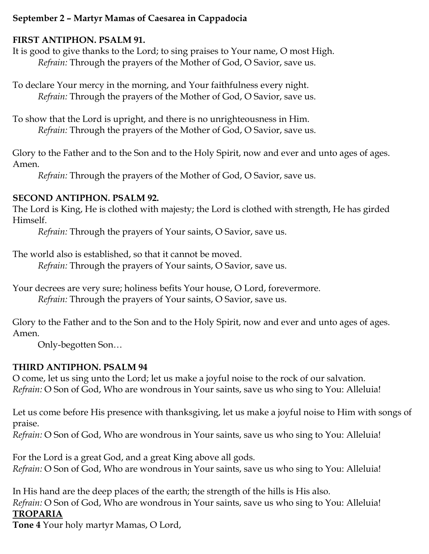### **September 2 – Martyr Mamas of Caesarea in Cappadocia**

#### **FIRST ANTIPHON. PSALM 91.**

It is good to give thanks to the Lord; to sing praises to Your name, O most High. *Refrain:* Through the prayers of the Mother of God, O Savior, save us.

To declare Your mercy in the morning, and Your faithfulness every night. *Refrain:* Through the prayers of the Mother of God, O Savior, save us.

To show that the Lord is upright, and there is no unrighteousness in Him. *Refrain:* Through the prayers of the Mother of God, O Savior, save us.

Glory to the Father and to the Son and to the Holy Spirit, now and ever and unto ages of ages. Amen.

*Refrain:* Through the prayers of the Mother of God, O Savior, save us.

### **SECOND ANTIPHON. PSALM 92.**

The Lord is King, He is clothed with majesty; the Lord is clothed with strength, He has girded Himself.

*Refrain:* Through the prayers of Your saints, O Savior, save us.

The world also is established, so that it cannot be moved.

*Refrain:* Through the prayers of Your saints, O Savior, save us.

Your decrees are very sure; holiness befits Your house, O Lord, forevermore. *Refrain:* Through the prayers of Your saints, O Savior, save us.

Glory to the Father and to the Son and to the Holy Spirit, now and ever and unto ages of ages. Amen.

Only-begotten Son…

### **THIRD ANTIPHON. PSALM 94**

O come, let us sing unto the Lord; let us make a joyful noise to the rock of our salvation. *Refrain:* O Son of God, Who are wondrous in Your saints, save us who sing to You: Alleluia!

Let us come before His presence with thanksgiving, let us make a joyful noise to Him with songs of praise.

*Refrain:* O Son of God, Who are wondrous in Your saints, save us who sing to You: Alleluia!

For the Lord is a great God, and a great King above all gods. *Refrain:* O Son of God, Who are wondrous in Your saints, save us who sing to You: Alleluia!

In His hand are the deep places of the earth; the strength of the hills is His also. *Refrain:* O Son of God, Who are wondrous in Your saints, save us who sing to You: Alleluia! **TROPARIA**

**Tone 4** Your holy martyr Mamas, O Lord,